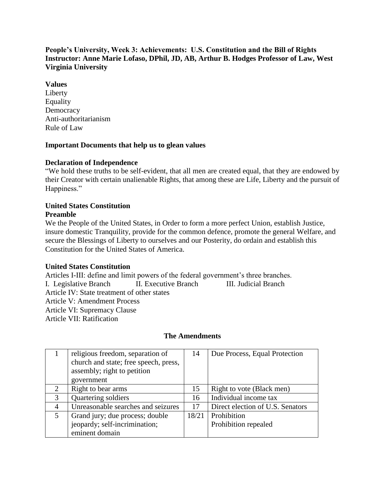# **People's University, Week 3: Achievements: U.S. Constitution and the Bill of Rights Instructor: Anne Marie Lofaso, DPhil, JD, AB, Arthur B. Hodges Professor of Law, West Virginia University**

## **Values**

Liberty Equality **Democracy** Anti-authoritarianism Rule of Law

## **Important Documents that help us to glean values**

## **Declaration of Independence**

"We hold these truths to be self-evident, that all men are created equal, that they are endowed by their Creator with certain unalienable Rights, that among these are Life, Liberty and the pursuit of Happiness."

#### **United States Constitution Preamble**

We the People of the United States, in Order to form a more perfect Union, establish Justice, insure domestic Tranquility, provide for the common defence, promote the general Welfare, and secure the Blessings of Liberty to ourselves and our Posterity, do ordain and establish this Constitution for the United States of America.

#### **United States Constitution**

Articles I-III: define and limit powers of the federal government's three branches. I. Legislative Branch II. Executive Branch III. Judicial Branch Article IV: State treatment of other states Article V: Amendment Process Article VI: Supremacy Clause Article VII: Ratification

## **The Amendments**

|                | religious freedom, separation of      | 14    | Due Process, Equal Protection    |
|----------------|---------------------------------------|-------|----------------------------------|
|                | church and state; free speech, press, |       |                                  |
|                | assembly; right to petition           |       |                                  |
|                | government                            |       |                                  |
| 2              | Right to bear arms                    | 15    | Right to vote (Black men)        |
| 3              | Quartering soldiers                   | 16    | Individual income tax            |
| $\overline{4}$ | Unreasonable searches and seizures    | 17    | Direct election of U.S. Senators |
| 5              | Grand jury; due process; double       | 18/21 | <b>Prohibition</b>               |
|                | jeopardy; self-incrimination;         |       | Prohibition repealed             |
|                | eminent domain                        |       |                                  |